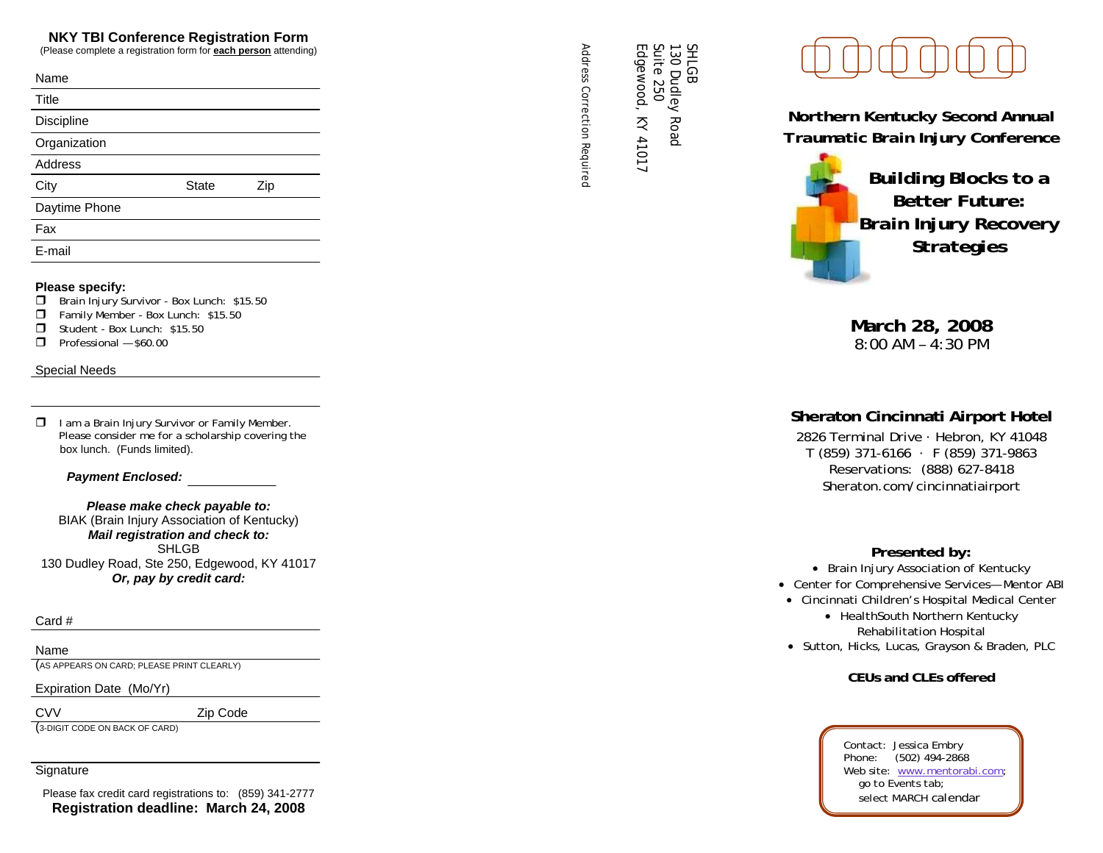### **NKY TBI Conference Registration Form**

(Please complete a registration form for **each person** attending)

| Name           |              |     |  |
|----------------|--------------|-----|--|
| Title          |              |     |  |
| Discipline     |              |     |  |
| Organization   |              |     |  |
| <b>Address</b> |              |     |  |
| City           | <b>State</b> | Zip |  |
| Daytime Phone  |              |     |  |
| Fax            |              |     |  |
| E-mail         |              |     |  |
|                |              |     |  |

### **Please specify:**

- **Brain Injury Survivor Box Lunch: \$15.50**
- Family Member Box Lunch: \$15.50
- Student Box Lunch: \$15.50
- $\Box$  Professional  $-$  \$60.00

### Special Needs

 $\Box$  I am a Brain Injury Survivor or Family Member. Please consider me for a scholarship covering the box lunch. (Funds limited).

### *Payment Enclosed:*

*Please make check payable to:*  BIAK (Brain Injury Association of Kentucky) *Mail registration and check to:*  SHLGB 130 Dudley Road, Ste 250, Edgewood, KY 41017 *Or, pay by credit card:* 

### Card #

### Name

(AS APPEARS ON CARD; PLEASE PRINT CLEARLY)

Expiration Date (Mo/Yr)

CVV Zip Code

(3-DIGIT CODE ON BACK OF CARD)

### **Signature**

Please fax credit card registrations to: (859) 341-2777 **Registration deadline: March 24, 2008** 

Address Correction Required Suite 250<br>Edgewood, KY 41017 Edgewood, KY 41017

130 Dudley Road

130 Dudley Road

SHLGB

*Address Correction Required* 

*Northern Kentucky Second Annual Traumatic Brain Injury Conference* 



**March 28, 2008**  8:00 AM – 4:30 PM

# **Sheraton Cincinnati Airport Hotel**

2826 Terminal Drive · Hebron, KY 41048 T (859) 371-6166 · F (859) 371-9863 Reservations: (888) 627-8418 Sheraton.com/cincinnatiairport

# *Presented by:*

• Brain Injury Association of Kentucky

- Center for Comprehensive Services— Mentor ABI
- Cincinnati Children's Hospital Medical Center • HealthSouth Northern Kentucky Rehabilitation Hospital
- Sutton, Hicks, Lucas, Grayson & Braden, PLC

**CEUs and CLEs offered** 

Contact: Jessica Embry Phone: (502) 494-2868 Web site: www.mentorabi.com;  *go to Events tab; select MARCH calendar*